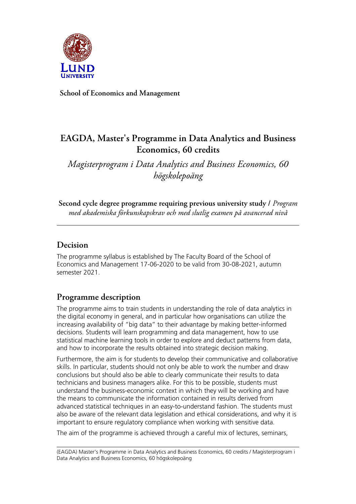

**School of Economics and Management**

# **EAGDA, Master's Programme in Data Analytics and Business Economics, 60 credits**

*Magisterprogram i Data Analytics and Business Economics, 60 högskolepoäng*

**Second cycle degree programme requiring previous university study /** *Program med akademiska förkunskapskrav och med slutlig examen på avancerad nivå*

## **Decision**

The programme syllabus is established by The Faculty Board of the School of Economics and Management 17-06-2020 to be valid from 30-08-2021, autumn semester 2021.

# **Programme description**

The programme aims to train students in understanding the role of data analytics in the digital economy in general, and in particular how organisations can utilize the increasing availability of "big data" to their advantage by making better-informed decisions. Students will learn programming and data management, how to use statistical machine learning tools in order to explore and deduct patterns from data, and how to incorporate the results obtained into strategic decision making.

Furthermore, the aim is for students to develop their communicative and collaborative skills. In particular, students should not only be able to work the number and draw conclusions but should also be able to clearly communicate their results to data technicians and business managers alike. For this to be possible, students must understand the business-economic context in which they will be working and have the means to communicate the information contained in results derived from advanced statistical techniques in an easy-to-understand fashion. The students must also be aware of the relevant data legislation and ethical considerations, and why it is important to ensure regulatory compliance when working with sensitive data.

The aim of the programme is achieved through a careful mix of lectures, seminars,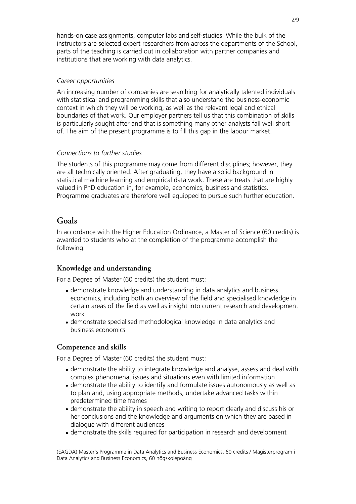hands-on case assignments, computer labs and self-studies. While the bulk of the instructors are selected expert researchers from across the departments of the School, parts of the teaching is carried out in collaboration with partner companies and institutions that are working with data analytics.

#### *Career opportunities*

An increasing number of companies are searching for analytically talented individuals with statistical and programming skills that also understand the business-economic context in which they will be working, as well as the relevant legal and ethical boundaries of that work. Our employer partners tell us that this combination of skills is particularly sought after and that is something many other analysts fall well short of. The aim of the present programme is to fill this gap in the labour market.

#### *Connections to further studies*

The students of this programme may come from different disciplines; however, they are all technically oriented. After graduating, they have a solid background in statistical machine learning and empirical data work. These are treats that are highly valued in PhD education in, for example, economics, business and statistics. Programme graduates are therefore well equipped to pursue such further education.

## **Goals**

In accordance with the Higher Education Ordinance, a Master of Science (60 credits) is awarded to students who at the completion of the programme accomplish the following:

## **Knowledge and understanding**

For a Degree of Master (60 credits) the student must:

- demonstrate knowledge and understanding in data analytics and business economics, including both an overview of the field and specialised knowledge in certain areas of the field as well as insight into current research and development work
- demonstrate specialised methodological knowledge in data analytics and business economics

### **Competence and skills**

For a Degree of Master (60 credits) the student must:

- demonstrate the ability to integrate knowledge and analyse, assess and deal with complex phenomena, issues and situations even with limited information
- demonstrate the ability to identify and formulate issues autonomously as well as to plan and, using appropriate methods, undertake advanced tasks within predetermined time frames
- demonstrate the ability in speech and writing to report clearly and discuss his or her conclusions and the knowledge and arguments on which they are based in dialogue with different audiences
- demonstrate the skills required for participation in research and development

<sup>(</sup>EAGDA) Master's Programme in Data Analytics and Business Economics, 60 credits / Magisterprogram i Data Analytics and Business Economics, 60 högskolepoäng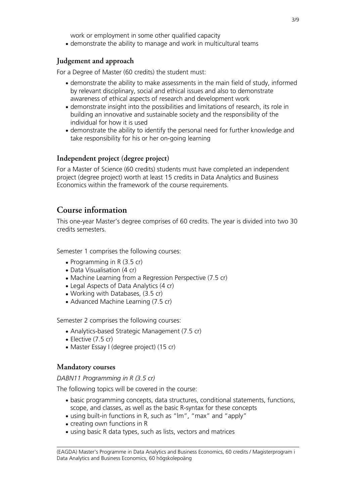work or employment in some other qualified capacity

• demonstrate the ability to manage and work in multicultural teams

## **Judgement and approach**

For a Degree of Master (60 credits) the student must:

- demonstrate the ability to make assessments in the main field of study, informed by relevant disciplinary, social and ethical issues and also to demonstrate awareness of ethical aspects of research and development work
- demonstrate insight into the possibilities and limitations of research, its role in building an innovative and sustainable society and the responsibility of the individual for how it is used
- demonstrate the ability to identify the personal need for further knowledge and take responsibility for his or her on-going learning

## **Independent project (degree project)**

For a Master of Science (60 credits) students must have completed an independent project (degree project) worth at least 15 credits in Data Analytics and Business Economics within the framework of the course requirements.

## **Course information**

This one-year Master's degree comprises of 60 credits. The year is divided into two 30 credits semesters.

Semester 1 comprises the following courses:

- Programming in R $(3.5 \text{ cr})$
- Data Visualisation (4 cr)
- Machine Learning from a Regression Perspective (7.5 cr)
- Legal Aspects of Data Analytics (4 cr)
- Working with Databases, (3.5 cr)
- Advanced Machine Learning (7.5 cr)

Semester 2 comprises the following courses:

- Analytics-based Strategic Management (7.5 cr)
- $\bullet$  Elective (7.5 cr)
- Master Essay I (degree project) (15 cr)

### **Mandatory courses**

#### *DABN11 Programming in R (3.5 cr)*

The following topics will be covered in the course:

- basic programming concepts, data structures, conditional statements, functions, scope, and classes, as well as the basic R-syntax for these concepts
- using built-in functions in R, such as "lm", "max" and "apply"
- creating own functions in R
- using basic R data types, such as lists, vectors and matrices

<sup>(</sup>EAGDA) Master's Programme in Data Analytics and Business Economics, 60 credits / Magisterprogram i Data Analytics and Business Economics, 60 högskolepoäng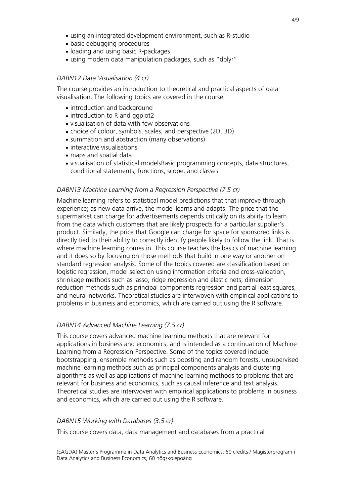- using an integrated development environment, such as R-studio
- basic debugging procedures
- loading and using basic R-packages
- using modern data manipulation packages, such as "dplyr"

#### *DABN12 Data Visualisation (4 cr)*

The course provides an introduction to theoretical and practical aspects of data visualisation. The following topics are covered in the course:

- introduction and background
- introduction to R and ggplot2
- visualisation of data with few observations
- choice of colour, symbols, scales, and perspective (2D, 3D)
- summation and abstraction (many observations)
- interactive visualisations
- maps and spatial data
- visualisation of statistical modelsBasic programming concepts, data structures, conditional statements, functions, scope, and classes

#### *DABN13 Machine Learning from a Regression Perspective (7.5 cr)*

Machine learning refers to statistical model predictions that that improve through experience; as new data arrive, the model learns and adapts. The price that the supermarket can charge for advertisements depends critically on its ability to learn from the data which customers that are likely prospects for a particular supplier's product. Similarly, the price that Google can charge for space for sponsored links is directly tied to their ability to correctly identify people likely to follow the link. That is where machine learning comes in. This course teaches the basics of machine learning and it does so by focusing on those methods that build in one way or another on standard regression analysis. Some of the topics covered are classification based on logistic regression, model selection using information criteria and cross-validation, shrinkage methods such as lasso, ridge regression and elastic nets, dimension reduction methods such as principal components regression and partial least squares, and neural networks. Theoretical studies are interwoven with empirical applications to problems in business and economics, which are carried out using the R software.

#### *DABN14 Advanced Machine Learning (7.5 cr)*

This course covers advanced machine learning methods that are relevant for applications in business and economics, and is intended as a continuation of Machine Learning from a Regression Perspective. Some of the topics covered include bootstrapping, ensemble methods such as boosting and random forests, unsupervised machine learning methods such as principal components analysis and clustering algorithms as well as applications of machine learning methods to problems that are relevant for business and economics, such as causal inference and text analysis. Theoretical studies are interwoven with empirical applications to problems in business and economics, which are carried out using the R software.

#### *DABN15 Working with Databases (3.5 cr)*

This course covers data, data management and databases from a practical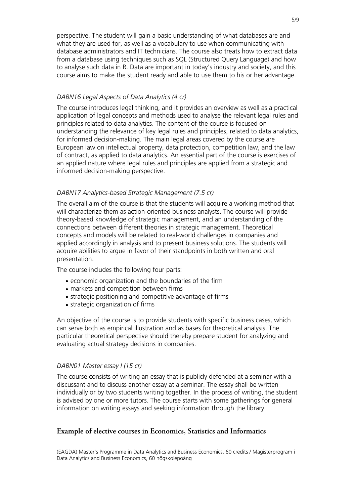perspective. The student will gain a basic understanding of what databases are and what they are used for, as well as a vocabulary to use when communicating with database administrators and IT technicians. The course also treats how to extract data from a database using techniques such as SQL (Structured Query Language) and how to analyse such data in R. Data are important in today's industry and society, and this course aims to make the student ready and able to use them to his or her advantage.

#### *DABN16 Legal Aspects of Data Analytics (4 cr)*

The course introduces legal thinking, and it provides an overview as well as a practical application of legal concepts and methods used to analyse the relevant legal rules and principles related to data analytics. The content of the course is focused on understanding the relevance of key legal rules and principles, related to data analytics, for informed decision-making. The main legal areas covered by the course are European law on intellectual property, data protection, competition law, and the law of contract, as applied to data analytics. An essential part of the course is exercises of an applied nature where legal rules and principles are applied from a strategic and informed decision-making perspective.

#### *DABN17 Analytics-based Strategic Management (7.5 cr)*

The overall aim of the course is that the students will acquire a working method that will characterize them as action-oriented business analysts. The course will provide theory-based knowledge of strategic management, and an understanding of the connections between different theories in strategic management. Theoretical concepts and models will be related to real-world challenges in companies and applied accordingly in analysis and to present business solutions. The students will acquire abilities to argue in favor of their standpoints in both written and oral presentation.

The course includes the following four parts:

- economic organization and the boundaries of the firm
- markets and competition between firms
- strategic positioning and competitive advantage of firms
- strategic organization of firms

An objective of the course is to provide students with specific business cases, which can serve both as empirical illustration and as bases for theoretical analysis. The particular theoretical perspective should thereby prepare student for analyzing and evaluating actual strategy decisions in companies.

#### *DABN01 Master essay I (15 cr)*

The course consists of writing an essay that is publicly defended at a seminar with a discussant and to discuss another essay at a seminar. The essay shall be written individually or by two students writing together. In the process of writing, the student is advised by one or more tutors. The course starts with some gatherings for general information on writing essays and seeking information through the library.

#### **Example of elective courses in Economics, Statistics and Informatics**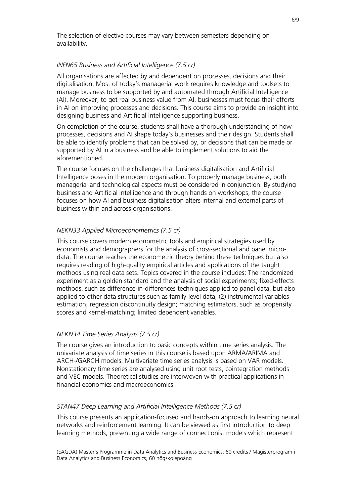The selection of elective courses may vary between semesters depending on availability.

#### *INFN65 Business and Artificial Intelligence (7.5 cr)*

All organisations are affected by and dependent on processes, decisions and their digitalisation. Most of today's managerial work requires knowledge and toolsets to manage business to be supported by and automated through Artificial Intelligence (AI). Moreover, to get real business value from AI, businesses must focus their efforts in AI on improving processes and decisions. This course aims to provide an insight into designing business and Artificial Intelligence supporting business.

On completion of the course, students shall have a thorough understanding of how processes, decisions and AI shape today's businesses and their design. Students shall be able to identify problems that can be solved by, or decisions that can be made or supported by AI in a business and be able to implement solutions to aid the aforementioned.

The course focuses on the challenges that business digitalisation and Artificial Intelligence poses in the modern organisation. To properly manage business, both managerial and technological aspects must be considered in conjunction. By studying business and Artificial Intelligence and through hands on workshops, the course focuses on how AI and business digitalisation alters internal and external parts of business within and across organisations.

#### *NEKN33 Applied Microeconometrics (7.5 cr)*

This course covers modern econometric tools and empirical strategies used by economists and demographers for the analysis of cross-sectional and panel microdata. The course teaches the econometric theory behind these techniques but also requires reading of high-quality empirical articles and applications of the taught methods using real data sets. Topics covered in the course includes: The randomized experiment as a golden standard and the analysis of social experiments; fixed-effects methods, such as difference-in-differences techniques applied to panel data, but also applied to other data structures such as family-level data, (2) instrumental variables estimation; regression discontinuity design; matching estimators, such as propensity scores and kernel-matching; limited dependent variables.

#### *NEKN34 Time Series Analysis (7.5 cr)*

The course gives an introduction to basic concepts within time series analysis. The univariate analysis of time series in this course is based upon ARMA/ARIMA and ARCH-/GARCH models. Multivariate time series analysis is based on VAR models. Nonstationary time series are analysed using unit root tests, cointegration methods and VEC models. Theoretical studies are interwoven with practical applications in financial economics and macroeconomics.

#### *STAN47 Deep Learning and Artificial Intelligence Methods (7.5 cr)*

This course presents an application-focused and hands-on approach to learning neural networks and reinforcement learning. It can be viewed as first introduction to deep learning methods, presenting a wide range of connectionist models which represent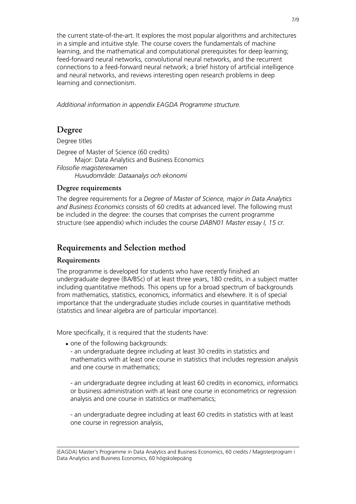the current state-of-the-art. It explores the most popular algorithms and architectures in a simple and intuitive style. The course covers the fundamentals of machine learning, and the mathematical and computational prerequisites for deep learning; feed-forward neural networks, convolutional neural networks, and the recurrent connections to a feed-forward neural network; a brief history of artificial intelligence and neural networks, and reviews interesting open research problems in deep learning and connectionism.

*Additional information in appendix EAGDA Programme structure.*

## **Degree**

Degree titles Degree of Master of Science (60 credits) Major: Data Analytics and Business Economics *Filosofie magisterexamen Huvudområde: Dataanalys och ekonomi*

## **Degree requirements**

The degree requirements for a *Degree of Master of Science, major in Data Analytics and Business Economics* consists of 60 credits at advanced level. The following must be included in the degree: the courses that comprises the current programme structure (see appendix) which includes the course *DABN01 Master essay I, 15 cr*.

## **Requirements and Selection method**

## **Requirements**

The programme is developed for students who have recently finished an undergraduate degree (BA/BSc) of at least three years, 180 credits, in a subject matter including quantitative methods. This opens up for a broad spectrum of backgrounds from mathematics, statistics, economics, informatics and elsewhere. It is of special importance that the undergraduate studies include courses in quantitative methods (statistics and linear algebra are of particular importance).

More specifically, it is required that the students have:

• one of the following backgrounds:

- an undergraduate degree including at least 30 credits in statistics and mathematics with at least one course in statistics that includes regression analysis and one course in mathematics;

- an undergraduate degree including at least 60 credits in economics, informatics or business administration with at least one course in econometrics or regression analysis and one course in statistics or mathematics;

- an undergraduate degree including at least 60 credits in statistics with at least one course in regression analysis,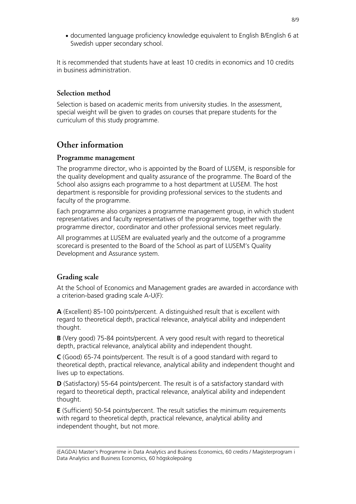● documented language proficiency knowledge equivalent to English B/English 6 at Swedish upper secondary school.

It is recommended that students have at least 10 credits in economics and 10 credits in business administration.

### **Selection method**

Selection is based on academic merits from university studies. In the assessment, special weight will be given to grades on courses that prepare students for the curriculum of this study programme.

## **Other information**

#### **Programme management**

The programme director, who is appointed by the Board of LUSEM, is responsible for the quality development and quality assurance of the programme. The Board of the School also assigns each programme to a host department at LUSEM. The host department is responsible for providing professional services to the students and faculty of the programme.

Each programme also organizes a programme management group, in which student representatives and faculty representatives of the programme, together with the programme director, coordinator and other professional services meet regularly.

All programmes at LUSEM are evaluated yearly and the outcome of a programme scorecard is presented to the Board of the School as part of LUSEM's Quality Development and Assurance system.

## **Grading scale**

At the School of Economics and Management grades are awarded in accordance with a criterion-based grading scale A-U(F):

**A** (Excellent) 85-100 points/percent. A distinguished result that is excellent with regard to theoretical depth, practical relevance, analytical ability and independent thought.

**B** (Very good) 75-84 points/percent. A very good result with regard to theoretical depth, practical relevance, analytical ability and independent thought.

**C** (Good) 65-74 points/percent. The result is of a good standard with regard to theoretical depth, practical relevance, analytical ability and independent thought and lives up to expectations.

**D** (Satisfactory) 55-64 points/percent. The result is of a satisfactory standard with regard to theoretical depth, practical relevance, analytical ability and independent thought.

**E** (Sufficient) 50-54 points/percent. The result satisfies the minimum requirements with regard to theoretical depth, practical relevance, analytical ability and independent thought, but not more.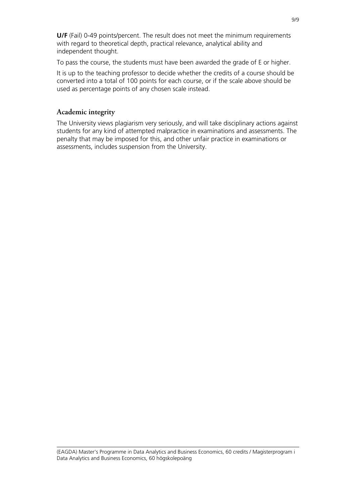**U/F** (Fail) 0-49 points/percent. The result does not meet the minimum requirements with regard to theoretical depth, practical relevance, analytical ability and independent thought.

To pass the course, the students must have been awarded the grade of E or higher.

It is up to the teaching professor to decide whether the credits of a course should be converted into a total of 100 points for each course, or if the scale above should be used as percentage points of any chosen scale instead.

### **Academic integrity**

The University views plagiarism very seriously, and will take disciplinary actions against students for any kind of attempted malpractice in examinations and assessments. The penalty that may be imposed for this, and other unfair practice in examinations or assessments, includes suspension from the University.